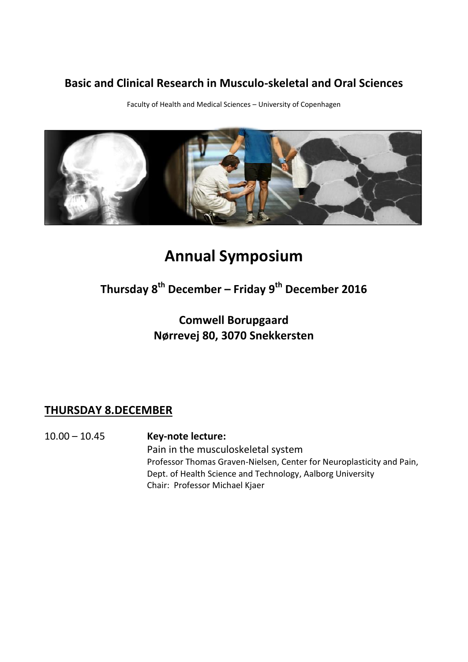#### **Basic and Clinical Research in Musculo-skeletal and Oral Sciences**

Faculty of Health and Medical Sciences – University of Copenhagen



# **Annual Symposium**

## **Thursday 8 th December – Friday 9 th December 2016**

## **Comwell Borupgaard Nørrevej 80, 3070 Snekkersten**

### **THURSDAY 8.DECEMBER**

10.00 – 10.45 **Key-note lecture:** Pain in the musculoskeletal system Professor Thomas Graven-Nielsen, Center for Neuroplasticity and Pain, Dept. of Health Science and Technology, Aalborg University Chair: Professor Michael Kjaer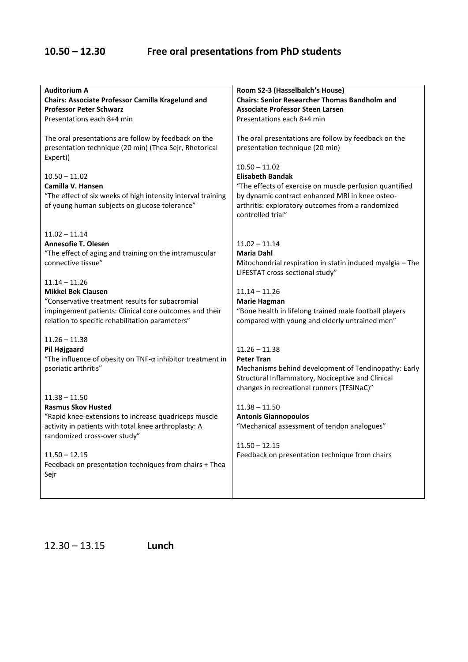| <b>Auditorium A</b><br>Chairs: Associate Professor Camilla Kragelund and<br><b>Professor Peter Schwarz</b><br>Presentations each 8+4 min              | Room S2-3 (Hasselbalch's House)<br><b>Chairs: Senior Researcher Thomas Bandholm and</b><br><b>Associate Professor Steen Larsen</b><br>Presentations each 8+4 min                                                                   |
|-------------------------------------------------------------------------------------------------------------------------------------------------------|------------------------------------------------------------------------------------------------------------------------------------------------------------------------------------------------------------------------------------|
| The oral presentations are follow by feedback on the<br>presentation technique (20 min) (Thea Sejr, Rhetorical<br>Expert))                            | The oral presentations are follow by feedback on the<br>presentation technique (20 min)                                                                                                                                            |
| $10.50 - 11.02$<br>Camilla V. Hansen<br>"The effect of six weeks of high intensity interval training<br>of young human subjects on glucose tolerance" | $10.50 - 11.02$<br><b>Elisabeth Bandak</b><br>"The effects of exercise on muscle perfusion quantified<br>by dynamic contract enhanced MRI in knee osteo-<br>arthritis: exploratory outcomes from a randomized<br>controlled trial" |
| $11.02 - 11.14$<br><b>Annesofie T. Olesen</b><br>"The effect of aging and training on the intramuscular<br>connective tissue"                         | $11.02 - 11.14$<br><b>Maria Dahl</b><br>Mitochondrial respiration in statin induced myalgia - The<br>LIFESTAT cross-sectional study"                                                                                               |
| $11.14 - 11.26$                                                                                                                                       |                                                                                                                                                                                                                                    |
| <b>Mikkel Bek Clausen</b>                                                                                                                             | $11.14 - 11.26$                                                                                                                                                                                                                    |
| "Conservative treatment results for subacromial                                                                                                       | <b>Marie Hagman</b>                                                                                                                                                                                                                |
| impingement patients: Clinical core outcomes and their<br>relation to specific rehabilitation parameters"                                             | "Bone health in lifelong trained male football players<br>compared with young and elderly untrained men"                                                                                                                           |
| $11.26 - 11.38$                                                                                                                                       |                                                                                                                                                                                                                                    |
| Pil Højgaard                                                                                                                                          | $11.26 - 11.38$                                                                                                                                                                                                                    |
| "The influence of obesity on $TNF-\alpha$ inhibitor treatment in                                                                                      | <b>Peter Tran</b>                                                                                                                                                                                                                  |
| psoriatic arthritis"                                                                                                                                  | Mechanisms behind development of Tendinopathy: Early<br>Structural Inflammatory, Nociceptive and Clinical<br>changes in recreational runners (TESINaC)"                                                                            |
| $11.38 - 11.50$                                                                                                                                       |                                                                                                                                                                                                                                    |
| <b>Rasmus Skov Husted</b>                                                                                                                             | $11.38 - 11.50$                                                                                                                                                                                                                    |
| "Rapid knee-extensions to increase quadriceps muscle<br>activity in patients with total knee arthroplasty: A<br>randomized cross-over study"          | <b>Antonis Giannopoulos</b><br>"Mechanical assessment of tendon analogues"                                                                                                                                                         |
|                                                                                                                                                       | $11.50 - 12.15$                                                                                                                                                                                                                    |
| $11.50 - 12.15$                                                                                                                                       | Feedback on presentation technique from chairs                                                                                                                                                                                     |
| Feedback on presentation techniques from chairs + Thea<br>Sejr                                                                                        |                                                                                                                                                                                                                                    |
|                                                                                                                                                       |                                                                                                                                                                                                                                    |

12.30 – 13.15 **Lunch**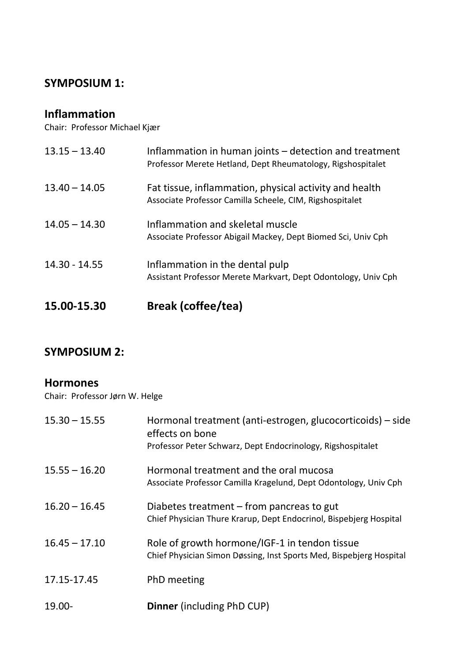#### **SYMPOSIUM 1:**

#### **Inflammation**

Chair: Professor Michael Kjær

| 15.00-15.30     | <b>Break (coffee/tea)</b>                                                                                             |
|-----------------|-----------------------------------------------------------------------------------------------------------------------|
| $14.30 - 14.55$ | Inflammation in the dental pulp<br>Assistant Professor Merete Markvart, Dept Odontology, Univ Cph                     |
| $14.05 - 14.30$ | Inflammation and skeletal muscle<br>Associate Professor Abigail Mackey, Dept Biomed Sci, Univ Cph                     |
| $13.40 - 14.05$ | Fat tissue, inflammation, physical activity and health<br>Associate Professor Camilla Scheele, CIM, Rigshospitalet    |
| $13.15 - 13.40$ | Inflammation in human joints – detection and treatment<br>Professor Merete Hetland, Dept Rheumatology, Rigshospitalet |

#### **SYMPOSIUM 2:**

#### **Hormones**

Chair: Professor Jørn W. Helge

| $15.30 - 15.55$ | Hormonal treatment (anti-estrogen, glucocorticoids) – side<br>effects on bone<br>Professor Peter Schwarz, Dept Endocrinology, Rigshospitalet |
|-----------------|----------------------------------------------------------------------------------------------------------------------------------------------|
| $15.55 - 16.20$ | Hormonal treatment and the oral mucosa<br>Associate Professor Camilla Kragelund, Dept Odontology, Univ Cph                                   |
| $16.20 - 16.45$ | Diabetes treatment $-$ from pancreas to gut<br>Chief Physician Thure Krarup, Dept Endocrinol, Bispebjerg Hospital                            |
| $16.45 - 17.10$ | Role of growth hormone/IGF-1 in tendon tissue<br>Chief Physician Simon Døssing, Inst Sports Med, Bispebjerg Hospital                         |
| 17.15-17.45     | PhD meeting                                                                                                                                  |
| 19.00-          | <b>Dinner</b> (including PhD CUP)                                                                                                            |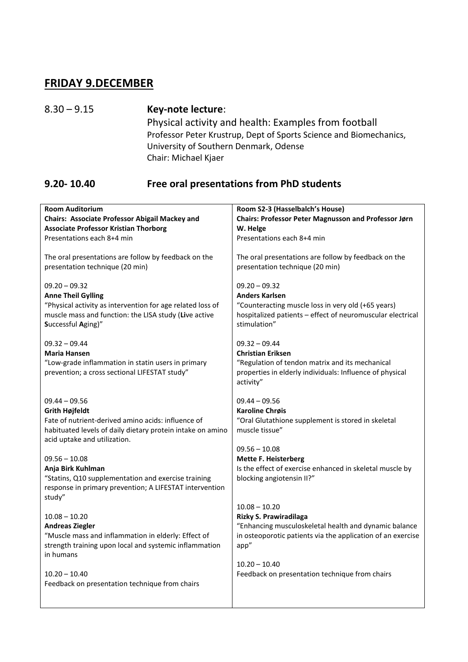#### **FRIDAY 9.DECEMBER**

8.30 – 9.15 **Key-note lecture**: Physical activity and health: Examples from football Professor Peter Krustrup, Dept of Sports Science and Biomechanics, University of Southern Denmark, Odense Chair: Michael Kjaer

#### **9.20- 10.40 Free oral presentations from PhD students**

| <b>Room Auditorium</b><br>Chairs: Associate Professor Abigail Mackey and<br><b>Associate Professor Kristian Thorborg</b>                                                                  | Room S2-3 (Hasselbalch's House)<br>Chairs: Professor Peter Magnusson and Professor Jørn<br>W. Helge<br>Presentations each 8+4 min                                            |
|-------------------------------------------------------------------------------------------------------------------------------------------------------------------------------------------|------------------------------------------------------------------------------------------------------------------------------------------------------------------------------|
| Presentations each 8+4 min                                                                                                                                                                |                                                                                                                                                                              |
| The oral presentations are follow by feedback on the<br>presentation technique (20 min)                                                                                                   | The oral presentations are follow by feedback on the<br>presentation technique (20 min)                                                                                      |
| $09.20 - 09.32$<br><b>Anne Theil Gylling</b><br>"Physical activity as intervention for age related loss of<br>muscle mass and function: the LISA study (Live active<br>Successful Aging)" | $09.20 - 09.32$<br><b>Anders Karlsen</b><br>"Counteracting muscle loss in very old (+65 years)<br>hospitalized patients - effect of neuromuscular electrical<br>stimulation" |
| $09.32 - 09.44$<br><b>Maria Hansen</b><br>"Low-grade inflammation in statin users in primary<br>prevention; a cross sectional LIFESTAT study"                                             | $09.32 - 09.44$<br><b>Christian Eriksen</b><br>"Regulation of tendon matrix and its mechanical<br>properties in elderly individuals: Influence of physical<br>activity"      |
| $09.44 - 09.56$                                                                                                                                                                           | $09.44 - 09.56$                                                                                                                                                              |
| <b>Grith Højfeldt</b>                                                                                                                                                                     | <b>Karoline Chrøis</b>                                                                                                                                                       |
| Fate of nutrient-derived amino acids: influence of                                                                                                                                        | "Oral Glutathione supplement is stored in skeletal                                                                                                                           |
| habituated levels of daily dietary protein intake on amino<br>acid uptake and utilization.                                                                                                | muscle tissue"                                                                                                                                                               |
|                                                                                                                                                                                           | $09.56 - 10.08$                                                                                                                                                              |
| $09.56 - 10.08$                                                                                                                                                                           | <b>Mette F. Heisterberg</b>                                                                                                                                                  |
| Anja Birk Kuhlman                                                                                                                                                                         | Is the effect of exercise enhanced in skeletal muscle by                                                                                                                     |
| "Statins, Q10 supplementation and exercise training<br>response in primary prevention; A LIFESTAT intervention<br>study"                                                                  | blocking angiotensin II?"                                                                                                                                                    |
|                                                                                                                                                                                           | $10.08 - 10.20$                                                                                                                                                              |
| $10.08 - 10.20$                                                                                                                                                                           | Rizky S. Prawiradilaga                                                                                                                                                       |
| <b>Andreas Ziegler</b>                                                                                                                                                                    | "Enhancing musculoskeletal health and dynamic balance                                                                                                                        |
| "Muscle mass and inflammation in elderly: Effect of                                                                                                                                       | in osteoporotic patients via the application of an exercise                                                                                                                  |
| strength training upon local and systemic inflammation<br>in humans                                                                                                                       | app"                                                                                                                                                                         |
|                                                                                                                                                                                           | $10.20 - 10.40$                                                                                                                                                              |
| $10.20 - 10.40$                                                                                                                                                                           | Feedback on presentation technique from chairs                                                                                                                               |
| Feedback on presentation technique from chairs                                                                                                                                            |                                                                                                                                                                              |
|                                                                                                                                                                                           |                                                                                                                                                                              |